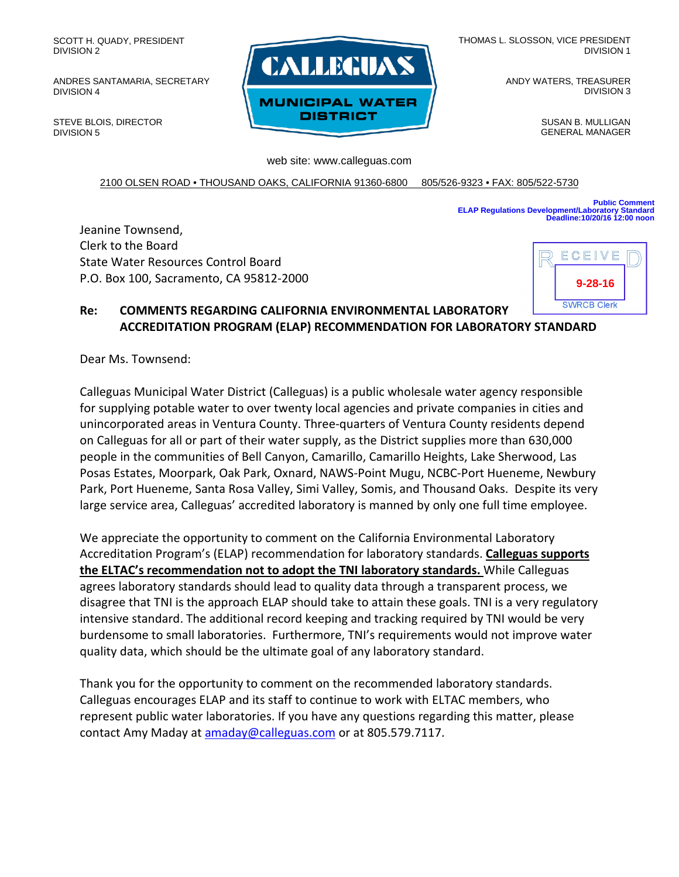SCOTT H. QUADY, PRESIDENT DIVISION 2

ANDRES SANTAMARIA, SECRETARY DIVISION 4

STEVE BLOIS, DIRECTOR DIVISION 5



THOMAS L. SLOSSON, VICE PRESIDENT DIVISION 1

> ANDY WATERS, TREASURER DIVISION 3

> > SUSAN B. MULLIGAN GENERAL MANAGER

web site: www.calleguas.com

2100 OLSEN ROAD • THOUSAND OAKS, CALIFORNIA 91360-6800 805/526-9323 • FAX: 805/522-5730

**Public Comment ELAP Regulations Development/Laboratory Standard Deadline:10/20/16 12:00 noon**

Jeanine Townsend, Clerk to the Board State Water Resources Control Board P.O. Box 100, Sacramento, CA 95812-2000



**Re: COMMENTS REGARDING CALIFORNIA ENVIRONMENTAL LABORATORY ACCREDITATION PROGRAM (ELAP) RECOMMENDATION FOR LABORATORY STANDARD**

Dear Ms. Townsend:

Calleguas Municipal Water District (Calleguas) is a public wholesale water agency responsible for supplying potable water to over twenty local agencies and private companies in cities and unincorporated areas in Ventura County. Three-quarters of Ventura County residents depend on Calleguas for all or part of their water supply, as the District supplies more than 630,000 people in the communities of Bell Canyon, Camarillo, Camarillo Heights, Lake Sherwood, Las Posas Estates, Moorpark, Oak Park, Oxnard, NAWS-Point Mugu, NCBC-Port Hueneme, Newbury Park, Port Hueneme, Santa Rosa Valley, Simi Valley, Somis, and Thousand Oaks. Despite its very large service area, Calleguas' accredited laboratory is manned by only one full time employee.

We appreciate the opportunity to comment on the California Environmental Laboratory Accreditation Program's (ELAP) recommendation for laboratory standards. **Calleguas supports the ELTAC's recommendation not to adopt the TNI laboratory standards.** While Calleguas agrees laboratory standards should lead to quality data through a transparent process, we disagree that TNI is the approach ELAP should take to attain these goals. TNI is a very regulatory intensive standard. The additional record keeping and tracking required by TNI would be very burdensome to small laboratories. Furthermore, TNI's requirements would not improve water quality data, which should be the ultimate goal of any laboratory standard.

Thank you for the opportunity to comment on the recommended laboratory standards. Calleguas encourages ELAP and its staff to continue to work with ELTAC members, who represent public water laboratories. If you have any questions regarding this matter, please contact Amy Maday at [amaday@calleguas.com](mailto:amaday@calleguas.com) or at 805.579.7117.